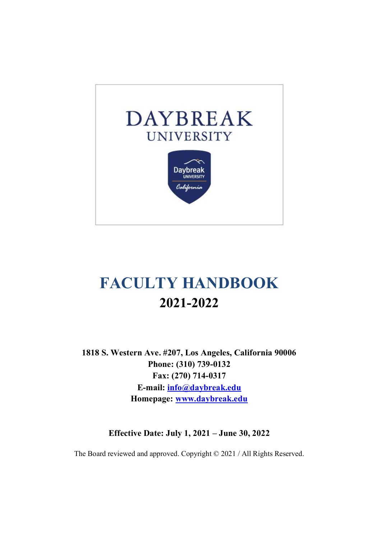

# **FACULTY HANDBOOK 2021-2022**

**1818 S. Western Ave. #207, Los Angeles, California 90006 Phone: (310) 739-0132 Fax: (270) 714-0317 E-mail: info@daybreak.edu Homepage: www.daybreak.edu**

**Effective Date: July 1, 2021 – June 30, 2022**

The Board reviewed and approved. Copyright © 2021 / All Rights Reserved.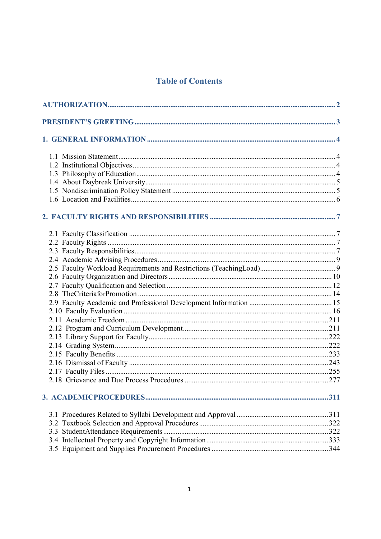# **Table of Contents**

|     | 311 |
|-----|-----|
|     |     |
| 3.2 |     |
|     |     |
|     |     |
|     |     |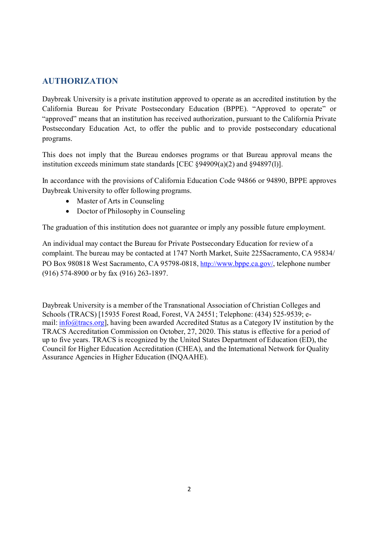# **AUTHORIZATION**

Daybreak University is a private institution approved to operate as an accredited institution by the California Bureau for Private Postsecondary Education (BPPE). "Approved to operate" or "approved" means that an institution has received authorization, pursuant to the California Private Postsecondary Education Act, to offer the public and to provide postsecondary educational programs.

This does not imply that the Bureau endorses programs or that Bureau approval means the institution exceeds minimum state standards [CEC §94909(a)(2) and §94897(l)].

In accordance with the provisions of California Education Code 94866 or 94890, BPPE approves Daybreak University to offer following programs.

- Master of Arts in Counseling
- Doctor of Philosophy in Counseling

The graduation of this institution does not guarantee or imply any possible future employment.

An individual may contact the Bureau for Private Postsecondary Education for review of a complaint. The bureau may be contacted at 1747 North Market, Suite 225Sacramento, CA 95834/ PO Box 980818 West Sacramento, CA 95798-0818, http://www.bppe.ca.gov/, telephone number (916) 574-8900 or by fax (916) 263-1897.

Daybreak University is a member of the Transnational Association of Christian Colleges and Schools (TRACS) [15935 Forest Road, Forest, VA 24551; Telephone: (434) 525-9539; email: info@tracs.org], having been awarded Accredited Status as a Category IV institution by the TRACS Accreditation Commission on October, 27, 2020. This status is effective for a period of up to five years. TRACS is recognized by the United States Department of Education (ED), the Council for Higher Education Accreditation (CHEA), and the International Network for Quality Assurance Agencies in Higher Education (INQAAHE).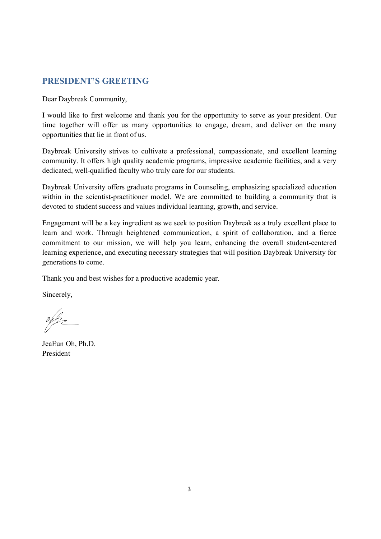# **PRESIDENT'S GREETING**

Dear Daybreak Community,

I would like to first welcome and thank you for the opportunity to serve as your president. Our time together will offer us many opportunities to engage, dream, and deliver on the many opportunities that lie in front of us.

Daybreak University strives to cultivate a professional, compassionate, and excellent learning community. It offers high quality academic programs, impressive academic facilities, and a very dedicated, well-qualified faculty who truly care for our students.

Daybreak University offers graduate programs in Counseling, emphasizing specialized education within in the scientist-practitioner model. We are committed to building a community that is devoted to student success and values individual learning, growth, and service.

Engagement will be a key ingredient as we seek to position Daybreak as a truly excellent place to learn and work. Through heightened communication, a spirit of collaboration, and a fierce commitment to our mission, we will help you learn, enhancing the overall student-centered learning experience, and executing necessary strategies that will position Daybreak University for generations to come.

Thank you and best wishes for a productive academic year.

Sincerely,

 $\frac{\partial}{\partial \beta_2}$ 

JeaEun Oh, Ph.D. President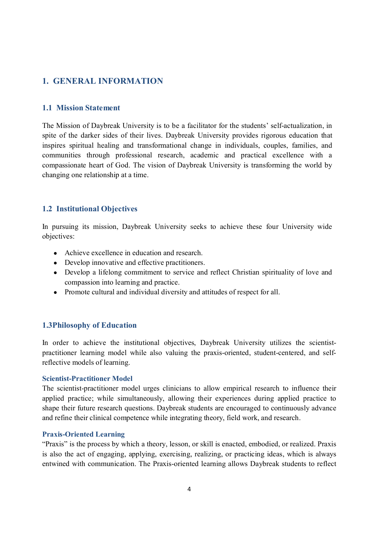# **1. GENERAL INFORMATION**

### **1.1 Mission Statement**

The Mission of Daybreak University is to be a facilitator for the students' self-actualization, in spite of the darker sides of their lives. Daybreak University provides rigorous education that inspires spiritual healing and transformational change in individuals, couples, families, and communities through professional research, academic and practical excellence with a compassionate heart of God. The vision of Daybreak University is transforming the world by changing one relationship at a time.

# **1.2 Institutional Objectives**

In pursuing its mission, Daybreak University seeks to achieve these four University wide objectives:

- Achieve excellence in education and research.
- Develop innovative and effective practitioners.
- Develop a lifelong commitment to service and reflect Christian spirituality of love and compassion into learning and practice.
- Promote cultural and individual diversity and attitudes of respect for all.

# **1.3Philosophy of Education**

In order to achieve the institutional objectives, Daybreak University utilizes the scientistpractitioner learning model while also valuing the praxis-oriented, student-centered, and selfreflective models of learning.

### **Scientist-Practitioner Model**

The scientist-practitioner model urges clinicians to allow empirical research to influence their applied practice; while simultaneously, allowing their experiences during applied practice to shape their future research questions. Daybreak students are encouraged to continuously advance and refine their clinical competence while integrating theory, field work, and research.

### **Praxis-Oriented Learning**

"Praxis" is the process by which a theory, lesson, or skill is enacted, embodied, or realized. Praxis is also the act of engaging, applying, exercising, realizing, or practicing ideas, which is always entwined with communication. The Praxis-oriented learning allows Daybreak students to reflect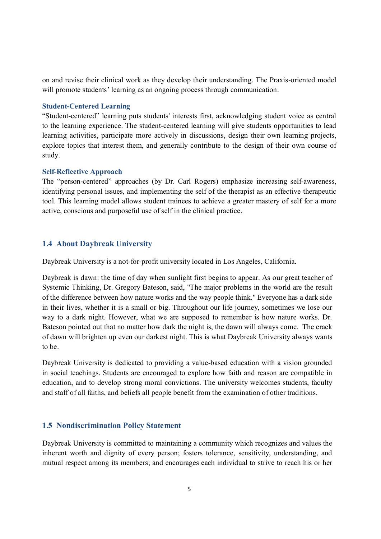on and revise their clinical work as they develop their understanding. The Praxis-oriented model will promote students' learning as an ongoing process through communication.

### **Student-Centered Learning**

"Student-centered" learning puts students' interests first, acknowledging student voice as central to the learning experience. The student-centered learning will give students opportunities to lead learning activities, participate more actively in discussions, design their own learning projects, explore topics that interest them, and generally contribute to the design of their own course of study.

### **Self-Reflective Approach**

The "person-centered" approaches (by Dr. Carl Rogers) emphasize increasing self-awareness, identifying personal issues, and implementing the self of the therapist as an effective therapeutic tool. This learning model allows student trainees to achieve a greater mastery of self for a more active, conscious and purposeful use of self in the clinical practice.

### **1.4 About Daybreak University**

Daybreak University is a not-for-profit university located in Los Angeles, California.

Daybreak is dawn: the time of day when sunlight first begins to appear. As our great teacher of Systemic Thinking, Dr. Gregory Bateson, said, "The major problems in the world are the result of the difference between how nature works and the way people think." Everyone has a dark side in their lives, whether it is a small or big. Throughout our life journey, sometimes we lose our way to a dark night. However, what we are supposed to remember is how nature works. Dr. Bateson pointed out that no matter how dark the night is, the dawn will always come. The crack of dawn will brighten up even our darkest night. This is what Daybreak University always wants to be.

Daybreak University is dedicated to providing a value-based education with a vision grounded in social teachings. Students are encouraged to explore how faith and reason are compatible in education, and to develop strong moral convictions. The university welcomes students, faculty and staff of all faiths, and beliefs all people benefit from the examination of other traditions.

### **1.5 Nondiscrimination Policy Statement**

Daybreak University is committed to maintaining a community which recognizes and values the inherent worth and dignity of every person; fosters tolerance, sensitivity, understanding, and mutual respect among its members; and encourages each individual to strive to reach his or her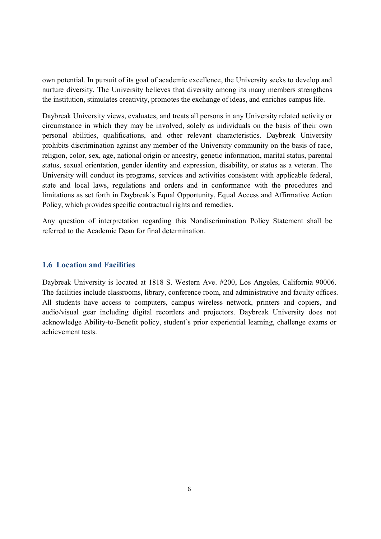own potential. In pursuit of its goal of academic excellence, the University seeks to develop and nurture diversity. The University believes that diversity among its many members strengthens the institution, stimulates creativity, promotes the exchange of ideas, and enriches campus life.

Daybreak University views, evaluates, and treats all persons in any University related activity or circumstance in which they may be involved, solely as individuals on the basis of their own personal abilities, qualifications, and other relevant characteristics. Daybreak University prohibits discrimination against any member of the University community on the basis of race, religion, color, sex, age, national origin or ancestry, genetic information, marital status, parental status, sexual orientation, gender identity and expression, disability, or status as a veteran. The University will conduct its programs, services and activities consistent with applicable federal, state and local laws, regulations and orders and in conformance with the procedures and limitations as set forth in Daybreak's Equal Opportunity, Equal Access and Affirmative Action Policy, which provides specific contractual rights and remedies.

Any question of interpretation regarding this Nondiscrimination Policy Statement shall be referred to the Academic Dean for final determination.

### **1.6 Location and Facilities**

Daybreak University is located at 1818 S. Western Ave. #200, Los Angeles, California 90006. The facilities include classrooms, library, conference room, and administrative and faculty offices. All students have access to computers, campus wireless network, printers and copiers, and audio/visual gear including digital recorders and projectors. Daybreak University does not acknowledge Ability-to-Benefit policy, student's prior experiential learning, challenge exams or achievement tests.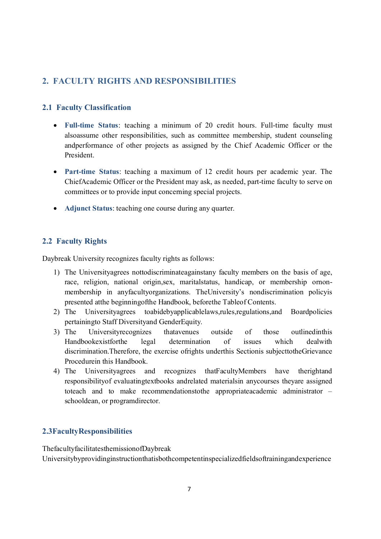# **2. FACULTY RIGHTS AND RESPONSIBILITIES**

# **2.1 Faculty Classification**

- · **Full-time Status**: teaching a minimum of 20 credit hours. Full-time faculty must alsoassume other responsibilities, such as committee membership, student counseling andperformance of other projects as assigned by the Chief Academic Officer or the President.
- · **Part-time Status**: teaching a maximum of 12 credit hours per academic year. The ChiefAcademic Officer or the President may ask, as needed, part-time faculty to serve on committees or to provide input concerning special projects.
- · **Adjunct Status**: teaching one course during any quarter.

# **2.2 Faculty Rights**

Daybreak University recognizes faculty rights as follows:

- 1) The Universityagrees nottodiscriminateagainstany faculty members on the basis of age, race, religion, national origin,sex, maritalstatus, handicap, or membership ornonmembership in anyfacultyorganizations. TheUniversity's nondiscrimination policyis presented atthe beginningofthe Handbook, beforethe Tableof Contents.
- 2) The Universityagrees toabidebyapplicablelaws,rules,regulations,and Boardpolicies pertainingto Staff Diversityand GenderEquity.
- 3) The Universityrecognizes thatavenues outside of those outlinedinthis Handbookexistforthe legal determination of issues which dealwith discrimination.Therefore, the exercise ofrights underthis Sectionis subjecttotheGrievance Procedurein this Handbook.
- 4) The Universityagrees and recognizes thatFacultyMembers have therightand responsibilityof evaluatingtextbooks andrelated materialsin anycourses theyare assigned toteach and to make recommendationstothe appropriateacademic administrator – schooldean, or programdirector.

# **2.3FacultyResponsibilities**

ThefacultyfacilitatesthemissionofDaybreak Universitybyprovidinginstructionthatisbothcompetentinspecializedfieldsoftrainingandexperience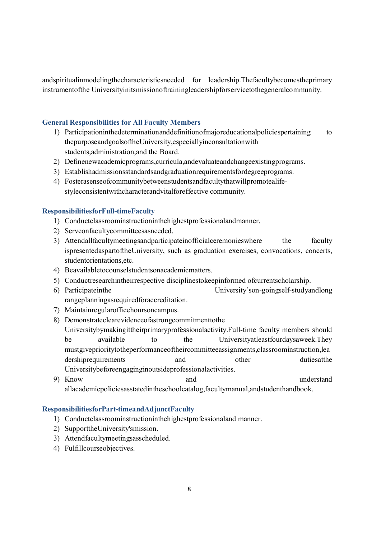andspiritualinmodelingthecharacteristicsneeded for leadership.Thefacultybecomestheprimary instrumentofthe Universityinitsmissionoftrainingleadershipforservicetothegeneralcommunity.

### **General Responsibilities for All Faculty Members**

- 1) Participationinthedeterminationanddefinitionofmajoreducationalpoliciespertaining to thepurposeandgoalsoftheUniversity,especiallyinconsultationwith students,administration,and the Board.
- 2) Definenewacademicprograms,curricula,andevaluateandchangeexistingprograms.
- 3) Establishadmissionsstandardsandgraduationrequirementsfordegreeprograms.
- 4) Fosterasenseofcommunitybetweenstudentsandfacultythatwillpromotealifestyleconsistentwithcharacterandvitalforeffective community.

### **ResponsibilitiesforFull-timeFaculty**

- 1) Conductclassroominstructioninthehighestprofessionalandmanner.
- 2) Serveonfacultycommitteesasneeded.
- 3) Attendallfacultymeetingsandparticipateinofficialceremonies where the faculty ispresentedaspartoftheUniversity, such as graduation exercises, convocations, concerts, studentorientations,etc.
- 4) Beavailabletocounselstudentsonacademicmatters.
- 5) Conductresearchintheirrespective disciplinestokeepinformed ofcurrentscholarship.
- 6) Participateinthe University'son-goingself-studyandlong rangeplanningasrequiredforaccreditation.
- 7) Maintainregularofficehoursoncampus.
- 8) Demonstrateclearevidenceofastrongcommitmenttothe Universitybymakingittheirprimaryprofessionalactivity.Full-time faculty members should be available to the Universityatleastfourdaysaweek.They mustgiveprioritytotheperformanceoftheircommitteeassignments,classroominstruction,lea dershiprequirements and other dutiesatthe Universitybeforeengaginginoutsideprofessionalactivities.
- 9) Know and understand allacademicpoliciesasstatedintheschoolcatalog,facultymanual,andstudenthandbook.

### **ResponsibilitiesforPart-timeandAdjunctFaculty**

- 1) Conductclassroominstructioninthehighestprofessionaland manner.
- 2) SupporttheUniversity'smission.
- 3) Attendfacultymeetingsasscheduled.
- 4) Fulfillcourseobjectives.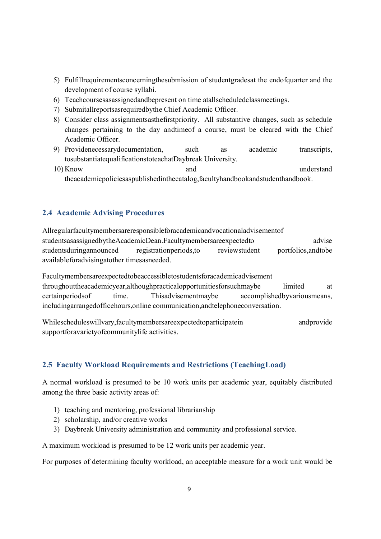- 5) Fulfillrequirementsconcerningthesubmission of studentgradesat the endofquarter and the development of course syllabi.
- 6) Teachcoursesasassignedandbepresent on time atallscheduledclassmeetings.
- 7) Submitallreportsasrequiredbythe Chief Academic Officer.
- 8) Consider class assignmentsasthefirstpriority. All substantive changes, such as schedule changes pertaining to the day andtimeof a course, must be cleared with the Chief Academic Officer.
- 9) Providenecessarydocumentation, such as academic transcripts, tosubstantiatequalificationstoteachatDaybreak University.
- 10) Know and understand theacademicpoliciesaspublishedinthecatalog,facultyhandbookandstudenthandbook.

# **2.4 Academic Advising Procedures**

Allregularfacultymembersareresponsibleforacademicandvocationaladvisementof studentsasassignedbytheAcademicDean.Facultymembersareexpectedto advise studentsduringannounced registrationperiods,to reviewstudent portfolios,andtobe availableforadvisingatother timesasneeded.

Facultymembersareexpectedtobeaccessibletostudentsforacademicadvisement throughouttheacademicyear,althoughpracticalopportunitiesforsuchmaybe limited at certainperiodsof time. Thisadvisementmaybe accomplishedbyvariousmeans, includingarrangedofficehours,online communication,andtelephoneconversation.

Whilescheduleswillvary,facultymembersareexpectedtoparticipatein andprovide supportforavarietyofcommunitylife activities.

# **2.5 Faculty Workload Requirements and Restrictions (TeachingLoad)**

A normal workload is presumed to be 10 work units per academic year, equitably distributed among the three basic activity areas of:

- 1) teaching and mentoring, professional librarianship
- 2) scholarship, and/or creative works
- 3) Daybreak University administration and community and professional service.

A maximum workload is presumed to be 12 work units per academic year.

For purposes of determining faculty workload, an acceptable measure for a work unit would be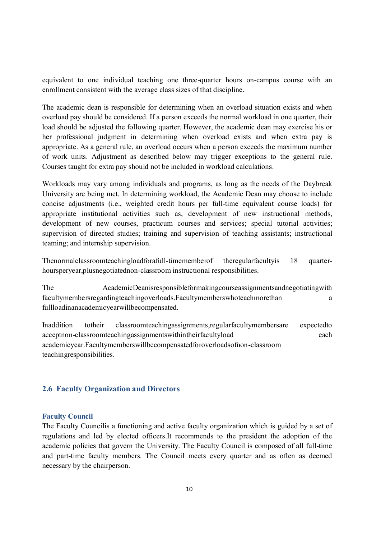equivalent to one individual teaching one three-quarter hours on-campus course with an enrollment consistent with the average class sizes of that discipline.

The academic dean is responsible for determining when an overload situation exists and when overload pay should be considered. If a person exceeds the normal workload in one quarter, their load should be adjusted the following quarter. However, the academic dean may exercise his or her professional judgment in determining when overload exists and when extra pay is appropriate. As a general rule, an overload occurs when a person exceeds the maximum number of work units. Adjustment as described below may trigger exceptions to the general rule. Courses taught for extra pay should not be included in workload calculations.

Workloads may vary among individuals and programs, as long as the needs of the Daybreak University are being met. In determining workload, the Academic Dean may choose to include concise adjustments (i.e., weighted credit hours per full-time equivalent course loads) for appropriate institutional activities such as, development of new instructional methods, development of new courses, practicum courses and services; special tutorial activities; supervision of directed studies; training and supervision of teaching assistants; instructional teaming; and internship supervision.

Thenormalclassroomteachingloadforafull-timememberof theregularfacultyis 18 quarterhoursperyear,plusnegotiatednon-classroom instructional responsibilities.

The AcademicDeanisresponsibleformakingcourseassignmentsandnegotiatingwith facultymembersregardingteachingoverloads.Facultymemberswhoteachmorethan a fullloadinanacademicyearwillbecompensated.

Inaddition totheir classroomteachingassignments,regularfacultymembersare expectedto acceptnon-classroomteachingassignmentswithintheirfacultyload each academicyear.Facultymemberswillbecompensatedforoverloadsofnon-classroom teachingresponsibilities.

### **2.6 Faculty Organization and Directors**

#### **Faculty Council**

The Faculty Councilis a functioning and active faculty organization which is guided by a set of regulations and led by elected officers.It recommends to the president the adoption of the academic policies that govern the University. The Faculty Council is composed of all full-time and part-time faculty members. The Council meets every quarter and as often as deemed necessary by the chairperson.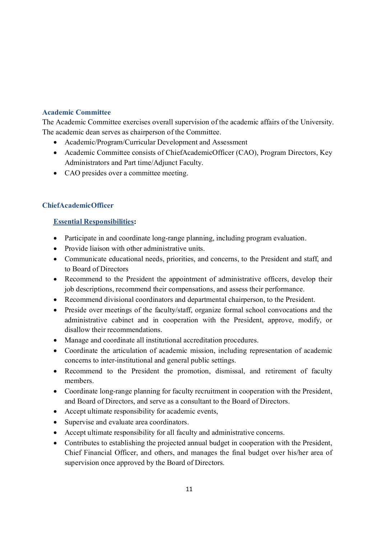# **Academic Committee**

The Academic Committee exercises overall supervision of the academic affairs of the University. The academic dean serves as chairperson of the Committee.

- · Academic/Program/Curricular Development and Assessment
- · Academic Committee consists of ChiefAcademicOfficer (CAO), Program Directors, Key Administrators and Part time/Adjunct Faculty.
- · CAO presides over a committee meeting.

### **ChiefAcademicOfficer**

### **Essential Responsibilities:**

- · Participate in and coordinate long-range planning, including program evaluation.
- · Provide liaison with other administrative units.
- · Communicate educational needs, priorities, and concerns, to the President and staff, and to Board of Directors
- Recommend to the President the appointment of administrative officers, develop their job descriptions, recommend their compensations, and assess their performance.
- · Recommend divisional coordinators and departmental chairperson, to the President.
- Preside over meetings of the faculty/staff, organize formal school convocations and the administrative cabinet and in cooperation with the President, approve, modify, or disallow their recommendations.
- · Manage and coordinate all institutional accreditation procedures.
- · Coordinate the articulation of academic mission, including representation of academic concerns to inter-institutional and general public settings.
- · Recommend to the President the promotion, dismissal, and retirement of faculty members.
- · Coordinate long-range planning for faculty recruitment in cooperation with the President, and Board of Directors, and serve as a consultant to the Board of Directors.
- Accept ultimate responsibility for academic events,
- · Supervise and evaluate area coordinators.
- · Accept ultimate responsibility for all faculty and administrative concerns.
- · Contributes to establishing the projected annual budget in cooperation with the President, Chief Financial Officer, and others, and manages the final budget over his/her area of supervision once approved by the Board of Directors.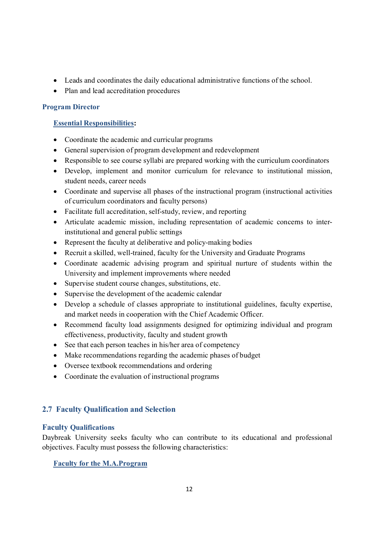- · Leads and coordinates the daily educational administrative functions of the school.
- · Plan and lead accreditation procedures

# **Program Director**

# **Essential Responsibilities:**

- · Coordinate the academic and curricular programs
- · General supervision of program development and redevelopment
- · Responsible to see course syllabi are prepared working with the curriculum coordinators
- · Develop, implement and monitor curriculum for relevance to institutional mission, student needs, career needs
- · Coordinate and supervise all phases of the instructional program (instructional activities of curriculum coordinators and faculty persons)
- Facilitate full accreditation, self-study, review, and reporting
- · Articulate academic mission, including representation of academic concerns to interinstitutional and general public settings
- Represent the faculty at deliberative and policy-making bodies
- · Recruit a skilled, well-trained, faculty for the University and Graduate Programs
- · Coordinate academic advising program and spiritual nurture of students within the University and implement improvements where needed
- · Supervise student course changes, substitutions, etc.
- Supervise the development of the academic calendar
- · Develop a schedule of classes appropriate to institutional guidelines, faculty expertise, and market needs in cooperation with the Chief Academic Officer.
- · Recommend faculty load assignments designed for optimizing individual and program effectiveness, productivity, faculty and student growth
- See that each person teaches in his/her area of competency
- Make recommendations regarding the academic phases of budget
- · Oversee textbook recommendations and ordering
- Coordinate the evaluation of instructional programs

# **2.7 Faculty Qualification and Selection**

# **Faculty Qualifications**

Daybreak University seeks faculty who can contribute to its educational and professional objectives. Faculty must possess the following characteristics:

# **Faculty for the M.A.Program**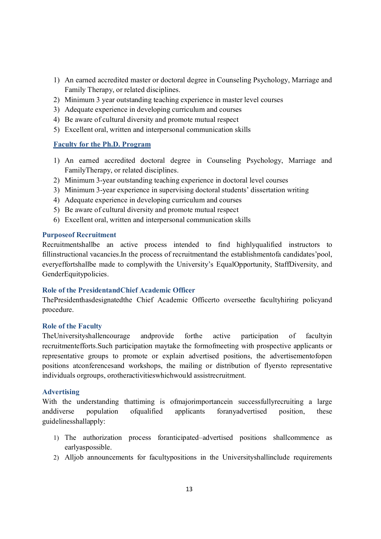- 1) An earned accredited master or doctoral degree in Counseling Psychology, Marriage and Family Therapy, or related disciplines.
- 2) Minimum 3 year outstanding teaching experience in master level courses
- 3) Adequate experience in developing curriculum and courses
- 4) Be aware of cultural diversity and promote mutual respect
- 5) Excellent oral, written and interpersonal communication skills

### **Faculty for the Ph.D. Program**

- 1) An earned accredited doctoral degree in Counseling Psychology, Marriage and FamilyTherapy, or related disciplines.
- 2) Minimum 3-year outstanding teaching experience in doctoral level courses
- 3) Minimum 3-year experience in supervising doctoral students' dissertation writing
- 4) Adequate experience in developing curriculum and courses
- 5) Be aware of cultural diversity and promote mutual respect
- 6) Excellent oral, written and interpersonal communication skills

### **Purposeof Recruitment**

Recruitmentshallbe an active process intended to find highlyqualified instructors to fillinstructional vacancies.In the process of recruitmentand the establishmentofa candidates'pool, everyeffortshallbe made to complywith the University's EqualOpportunity, StaffDiversity, and GenderEquitypolicies.

### **Role of the PresidentandChief Academic Officer**

ThePresidenthasdesignatedthe Chief Academic Officerto overseethe facultyhiring policyand procedure.

### **Role of the Faculty**

TheUniversityshallencourage andprovide forthe active participation of facultyin recruitmentefforts.Such participation maytake the formofmeeting with prospective applicants or representative groups to promote or explain advertised positions, the advertisementofopen positions atconferencesand workshops, the mailing or distribution of flyersto representative individuals orgroups, orotheractivitieswhichwould assistrecruitment.

### **Advertising**

With the understanding thattiming is ofmajorimportancein successfully recruiting a large anddiverse population ofqualified applicants foranyadvertised position, these guidelinesshallapply:

- 1) The authorization process foranticipated–advertised positions shallcommence as earlyaspossible.
- 2) Alljob announcements for facultypositions in the Universityshallinclude requirements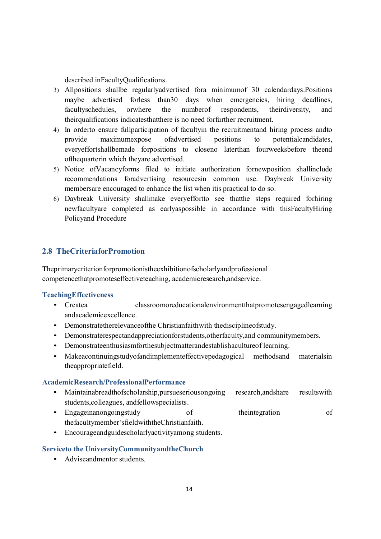described inFacultyQualifications.

- 3) Allpositions shallbe regularlyadvertised fora minimumof 30 calendardays.Positions maybe advertised forless than 30 days when emergencies, hiring deadlines, facultyschedules, orwhere the numberof respondents, theirdiversity, and theirqualifications indicatesthatthere is no need forfurther recruitment.
- 4) In orderto ensure fullparticipation of facultyin the recruitmentand hiring process andto provide maximumexpose ofadvertised positions to potentialcandidates, everyeffortshallbemade forpositions to closeno laterthan fourweeksbefore theend ofthequarterin which theyare advertised.
- 5) Notice ofVacancyforms filed to initiate authorization fornewposition shallinclude recommendations foradvertising resourcesin common use. Daybreak University membersare encouraged to enhance the list when itis practical to do so.
- 6) Daybreak University shallmake everyeffortto see thatthe steps required forhiring newfacultyare completed as earlyaspossible in accordance with thisFacultyHiring Policyand Procedure

# **2.8 TheCriteriaforPromotion**

Theprimarycriterionforpromotionistheexhibitionofscholarlyandprofessional competencethatpromoteseffectiveteaching, academicresearch,andservice.

### **TeachingEffectiveness**

- Createa classroomoreducationalenvironmentthatpromotesengagedlearning andacademicexcellence.
- Demonstratetherelevanceofthe Christianfaithwith thedisciplineofstudy.
- Demonstraterespectandappreciationforstudents,otherfaculty,and communitymembers.
- Demonstrateenthusiasmforthesubjectmatterandestablishacultureof learning.
- Makeacontinuingstudyofandimplementeffectivepedagogical methodsand materialsin theappropriatefield.

### **AcademicResearch/ProfessionalPerformance**

- Maintainabreadthofscholarship, pursues erious ongoing research, and share results with students,colleagues, andfellowspecialists.
- Engageinanongoingstudy of the their tegration of the theorem of thefacultymember'sfieldwiththeChristianfaith.
- Encourageandguidescholarlyactivityamong students.

### **Serviceto the UniversityCommunityandtheChurch**

• Adviseandmentor students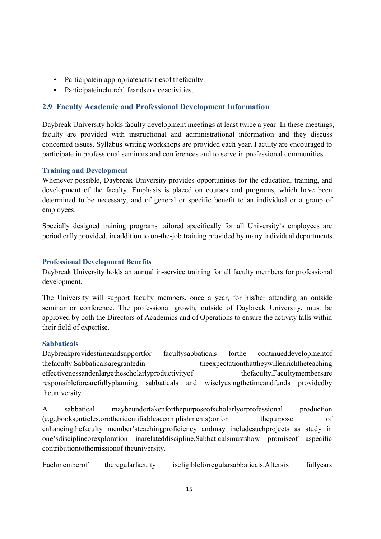- Participatein appropriateactivitiesof thefaculty.
- Participateinchurchlifeandserviceactivities.

# **2.9 Faculty Academic and Professional Development Information**

Daybreak University holds faculty development meetings at least twice a year. In these meetings, faculty are provided with instructional and administrational information and they discuss concerned issues. Syllabus writing workshops are provided each year. Faculty are encouraged to participate in professional seminars and conferences and to serve in professional communities.

### **Training and Development**

Whenever possible, Daybreak University provides opportunities for the education, training, and development of the faculty. Emphasis is placed on courses and programs, which have been determined to be necessary, and of general or specific benefit to an individual or a group of employees.

Specially designed training programs tailored specifically for all University's employees are periodically provided, in addition to on-the-job training provided by many individual departments.

### **Professional Development Benefits**

Daybreak University holds an annual in-service training for all faculty members for professional development.

The University will support faculty members, once a year, for his/her attending an outside seminar or conference. The professional growth, outside of Daybreak University, must be approved by both the Directors of Academics and of Operations to ensure the activity falls within their field of expertise.

# **Sabbaticals**

Daybreakprovidestimeandsupportfor facultysabbaticals forthe continueddevelopmentof thefaculty.Sabbaticalsaregrantedin theexpectationthattheywillenrichtheteaching effectivenessandenlargethescholarlyproductivityof thefaculty.Facultymembersare responsibleforcarefullyplanning sabbaticals and wiselyusingthetimeandfunds providedby theuniversity.

A sabbatical maybeundertakenforthepurposeofscholarlyorprofessional production (e.g.,books,articles,orotheridentifiableaccomplishments);orfor thepurpose of enhancingthefaculty member'steachingproficiency andmay includesuchprojects as study in one'sdisciplineorexploration inarelateddiscipline.Sabbaticalsmustshow promiseof aspecific contributiontothemissionof theuniversity.

Eachmemberof theregularfaculty iseligibleforregularsabbaticals.Aftersix fullyears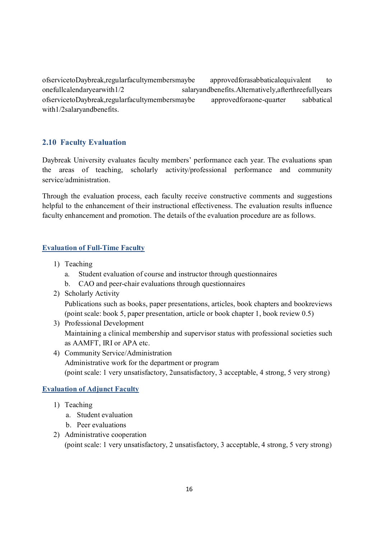ofservicetoDaybreak,regularfacultymembersmaybe approvedforasabbaticalequivalent to onefullcalendaryearwith1/2 salaryandbenefits.Alternatively,afterthreefullyears ofservicetoDaybreak,regularfacultymembersmaybe approvedforaone-quarter sabbatical with1/2salaryandbenefits.

# **2.10 Faculty Evaluation**

Daybreak University evaluates faculty members' performance each year. The evaluations span the areas of teaching, scholarly activity/professional performance and community service/administration.

Through the evaluation process, each faculty receive constructive comments and suggestions helpful to the enhancement of their instructional effectiveness. The evaluation results influence faculty enhancement and promotion. The details of the evaluation procedure are as follows.

### **Evaluation of Full-Time Faculty**

- 1) Teaching
	- a. Student evaluation of course and instructor through questionnaires
	- b. CAO and peer-chair evaluations through questionnaires
- 2) Scholarly Activity

Publications such as books, paper presentations, articles, book chapters and bookreviews (point scale: book 5, paper presentation, article or book chapter 1, book review 0.5)

- 3) Professional Development Maintaining a clinical membership and supervisor status with professional societies such as AAMFT, IRI or APA etc.
- 4) Community Service/Administration Administrative work for the department or program (point scale: 1 very unsatisfactory, 2unsatisfactory, 3 acceptable, 4 strong, 5 very strong)

### **Evaluation of Adjunct Faculty**

- 1) Teaching
	- a. Student evaluation
	- b. Peer evaluations
- 2) Administrative cooperation

(point scale: 1 very unsatisfactory, 2 unsatisfactory, 3 acceptable, 4 strong, 5 very strong)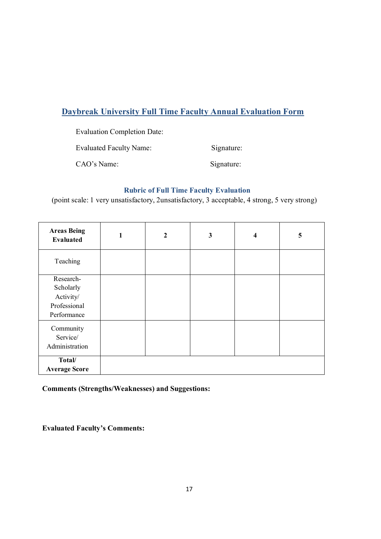# **Daybreak University Full Time Faculty Annual Evaluation Form**

Evaluation Completion Date:

Evaluated Faculty Name: Signature:

CAO's Name: Signature:

# **Rubric of Full Time Faculty Evaluation**

(point scale: 1 very unsatisfactory, 2unsatisfactory, 3 acceptable, 4 strong, 5 very strong)

| <b>Areas Being</b><br><b>Evaluated</b> | $\mathbf{2}$ | 3 | $\overline{\mathbf{4}}$ | 5 |
|----------------------------------------|--------------|---|-------------------------|---|
| Teaching                               |              |   |                         |   |
| Research-                              |              |   |                         |   |
| Scholarly                              |              |   |                         |   |
| Activity/                              |              |   |                         |   |
| Professional                           |              |   |                         |   |
| Performance                            |              |   |                         |   |
| Community                              |              |   |                         |   |
| Service/                               |              |   |                         |   |
| Administration                         |              |   |                         |   |
|                                        |              |   |                         |   |
| Total/                                 |              |   |                         |   |
| <b>Average Score</b>                   |              |   |                         |   |

**Comments (Strengths/Weaknesses) and Suggestions:**

**Evaluated Faculty's Comments:**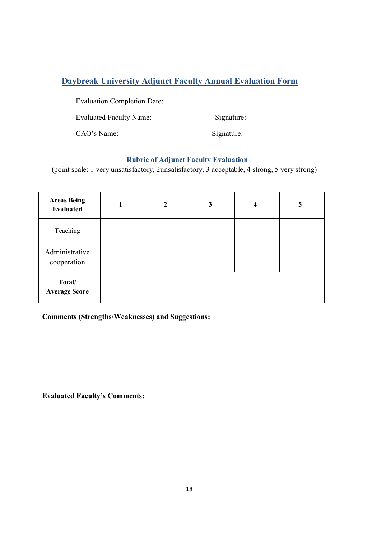# **Daybreak University Adjunct Faculty Annual Evaluation Form**

Evaluation Completion Date:

Evaluated Faculty Name: Signature:

CAO's Name: Signature:

# **Rubric of Adjunct Faculty Evaluation**

(point scale: 1 very unsatisfactory, 2unsatisfactory, 3 acceptable, 4 strong, 5 very strong)

| <b>Areas Being</b><br><b>Evaluated</b> | 1 | $\mathbf{2}$ | 3 | $\overline{\mathbf{4}}$ | 5 |
|----------------------------------------|---|--------------|---|-------------------------|---|
| Teaching                               |   |              |   |                         |   |
| Administrative<br>cooperation          |   |              |   |                         |   |
| Total/<br><b>Average Score</b>         |   |              |   |                         |   |

**Comments (Strengths/Weaknesses) and Suggestions:**

**Evaluated Faculty's Comments:**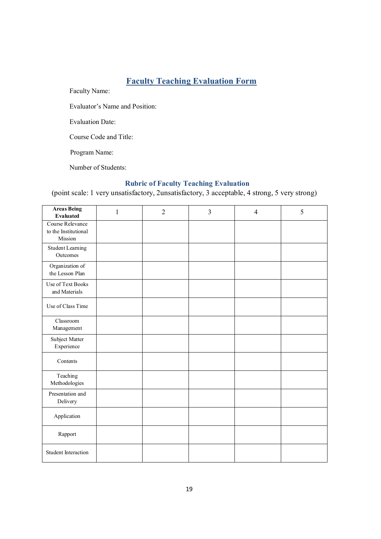# **Faculty Teaching Evaluation Form**

Faculty Name:

Evaluator's Name and Position:

Evaluation Date:

Course Code and Title:

Program Name:

Number of Students:

# **Rubric of Faculty Teaching Evaluation**

(point scale: 1 very unsatisfactory, 2unsatisfactory, 3 acceptable, 4 strong, 5 very strong)

| <b>Areas Being</b><br><b>Evaluated</b>              | 1 | $\overline{2}$ | 3 | $\overline{4}$ | 5 |
|-----------------------------------------------------|---|----------------|---|----------------|---|
| Course Relevance<br>to the Institutional<br>Mission |   |                |   |                |   |
| Student Learning<br>Outcomes                        |   |                |   |                |   |
| Organization of<br>the Lesson Plan                  |   |                |   |                |   |
| Use of Text Books<br>and Materials                  |   |                |   |                |   |
| Use of Class Time                                   |   |                |   |                |   |
| Classroom<br>Management                             |   |                |   |                |   |
| Subject Matter<br>Experience                        |   |                |   |                |   |
| Contents                                            |   |                |   |                |   |
| Teaching<br>Methodologies                           |   |                |   |                |   |
| Presentation and<br>Delivery                        |   |                |   |                |   |
| Application                                         |   |                |   |                |   |
| Rapport                                             |   |                |   |                |   |
| Student Interaction                                 |   |                |   |                |   |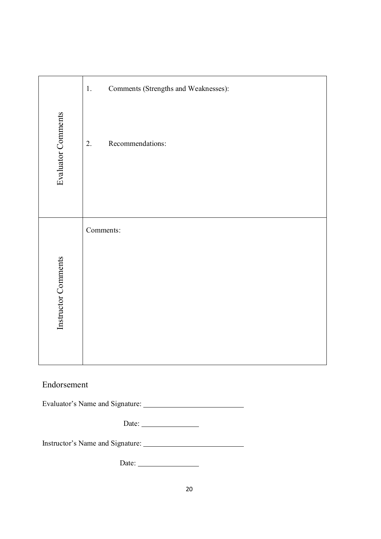|                     | Comments (Strengths and Weaknesses):<br>$1.$ |
|---------------------|----------------------------------------------|
| Evaluator Comments  | Recommendations:<br>2.                       |
|                     | Comments:                                    |
|                     |                                              |
|                     |                                              |
| Instructor Comments |                                              |
|                     |                                              |

# Endorsement

Evaluator's Name and Signature:

Date:

Instructor's Name and Signature:

Date: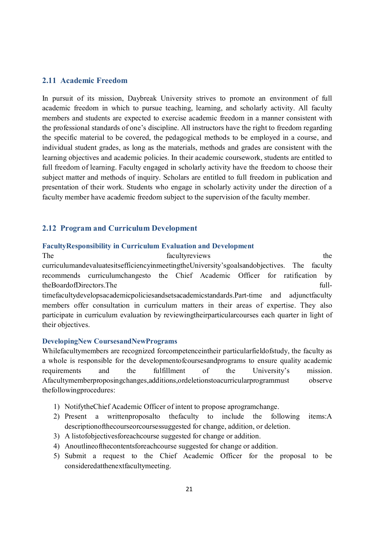### **2.11 Academic Freedom**

In pursuit of its mission, Daybreak University strives to promote an environment of full academic freedom in which to pursue teaching, learning, and scholarly activity. All faculty members and students are expected to exercise academic freedom in a manner consistent with the professional standards of one's discipline. All instructors have the right to freedom regarding the specific material to be covered, the pedagogical methods to be employed in a course, and individual student grades, as long as the materials, methods and grades are consistent with the learning objectives and academic policies. In their academic coursework, students are entitled to full freedom of learning. Faculty engaged in scholarly activity have the freedom to choose their subject matter and methods of inquiry. Scholars are entitled to full freedom in publication and presentation of their work. Students who engage in scholarly activity under the direction of a faculty member have academic freedom subject to the supervision of the faculty member.

### **2.12 Program and Curriculum Development**

#### **FacultyResponsibility in Curriculum Evaluation and Development**

The facultyreviews the facultyreviews the state of the facultyreviews the state of the state of the faculty  $\frac{1}{2}$  and  $\frac{1}{2}$  and  $\frac{1}{2}$  and  $\frac{1}{2}$  and  $\frac{1}{2}$  and  $\frac{1}{2}$  and  $\frac{1}{2}$  and  $\frac{1}{2}$  and  $\$ curriculumandevaluatesitsefficiencyinmeetingtheUniversity'sgoalsandobjectives. The faculty recommends curriculumchangesto the Chief Academic Officer for ratification by theBoardofDirectors.The fulltimefacultydevelopsacademicpoliciesandsetsacademicstandards.Part-time and adjunctfaculty members offer consultation in curriculum matters in their areas of expertise. They also participate in curriculum evaluation by reviewingtheirparticularcourses each quarter in light of their objectives.

### **DevelopingNew CoursesandNewPrograms**

Whilefacultymembers are recognized forcompetenceintheir particularfieldofstudy, the faculty as a whole is responsible for the developmentofcoursesandprograms to ensure quality academic requirements and the fulfillment of the University's mission. Afacultymemberproposingchanges,additions,ordeletionstoacurricularprogrammust observe thefollowingprocedures:

- 1) NotifytheChief Academic Officer of intent to propose aprogramchange.
- 2) Present a writtenproposalto thefaculty to include the following items:A descriptionofthecourseorcoursessuggested for change, addition, or deletion.
- 3) A listofobjectivesforeachcourse suggested for change or addition.
- 4) Anoutlineofthecontentsforeachcourse suggested for change or addition.
- 5) Submit a request to the Chief Academic Officer for the proposal to be consideredatthenextfacultymeeting.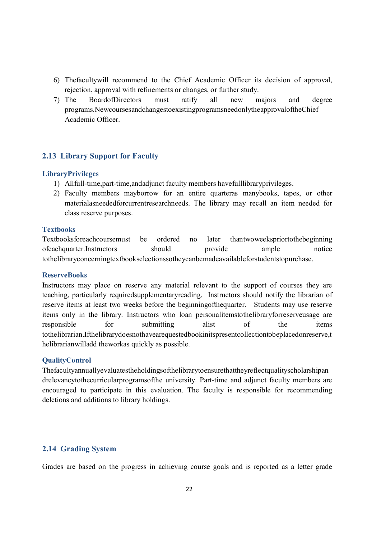- 6) Thefacultywill recommend to the Chief Academic Officer its decision of approval, rejection, approval with refinements or changes, or further study.
- 7) The BoardofDirectors must ratify all new majors and degree programs.NewcoursesandchangestoexistingprogramsneedonlytheapprovaloftheChief Academic Officer.

### **2.13 Library Support for Faculty**

#### **LibraryPrivileges**

- 1) Allfull-time,part-time,andadjunct faculty members havefulllibraryprivileges.
- 2) Faculty members mayborrow for an entire quarteras manybooks, tapes, or other materialasneededforcurrentresearchneeds. The library may recall an item needed for class reserve purposes.

### **Textbooks**

Textbooksforeachcoursemust be ordered no later thantwoweekspriortothebeginning ofeachquarter.Instructors should provide ample notice tothelibraryconcerningtextbookselectionssotheycanbemadeavailableforstudentstopurchase.

#### **ReserveBooks**

Instructors may place on reserve any material relevant to the support of courses they are teaching, particularly requiredsupplementaryreading. Instructors should notify the librarian of reserve items at least two weeks before the beginningofthequarter. Students may use reserve items only in the library. Instructors who loan personalitemstothelibraryforreserveusage are responsible for submitting alist of the items tothelibrarian.Ifthelibrarydoesnothavearequestedbookinitspresentcollectiontobeplacedonreserve,t helibrarianwilladd theworkas quickly as possible.

### **QualityControl**

Thefacultyannuallyevaluatestheholdingsofthelibrarytoensurethattheyreflectqualityscholarshipan drelevancytothecurricularprogramsofthe university. Part-time and adjunct faculty members are encouraged to participate in this evaluation. The faculty is responsible for recommending deletions and additions to library holdings.

### **2.14 Grading System**

Grades are based on the progress in achieving course goals and is reported as a letter grade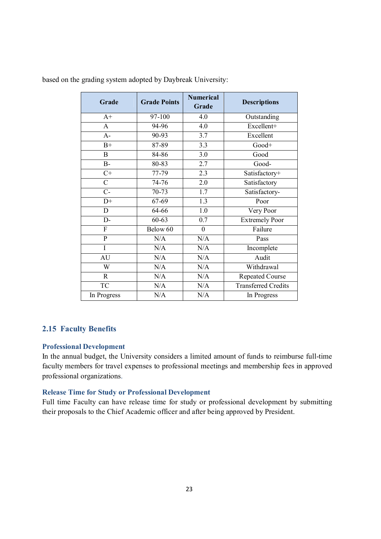| Grade          | <b>Grade Points</b> | <b>Numerical</b><br>Grade | <b>Descriptions</b>        |
|----------------|---------------------|---------------------------|----------------------------|
| $A+$           | 97-100              | 4.0                       | Outstanding                |
| $\mathbf{A}$   | 94-96               | 4.0                       | Excellent+                 |
| $A-$           | 90-93               | 3.7                       | Excellent                  |
| $B+$           | 87-89               | 3.3                       | Good+                      |
| $\mathbf{B}$   | 84-86               | 3.0                       | Good                       |
| $B-$           | 80-83               | 2.7                       | Good-                      |
| $C+$           | 77-79               | $\overline{2.3}$          | Satisfactory+              |
| $\overline{C}$ | 74-76               | 2.0                       | Satisfactory               |
| $C-$           | 70-73               | 1.7                       | Satisfactory-              |
| $D+$           | 67-69               | 1.3                       | Poor                       |
| D              | 64-66               | 1.0                       | Very Poor                  |
| $D-$           | $60 - 63$           | 0.7                       | <b>Extremely Poor</b>      |
| F              | Below 60            | $\boldsymbol{0}$          | Failure                    |
| $\mathbf{P}$   | N/A                 | N/A                       | Pass                       |
| I              | N/A                 | N/A                       | Incomplete                 |
| <b>AU</b>      | N/A                 | N/A                       | Audit                      |
| W              | N/A                 | N/A                       | Withdrawal                 |
| $\mathbb{R}$   | N/A                 | N/A                       | <b>Repeated Course</b>     |
| <b>TC</b>      | N/A                 | N/A                       | <b>Transferred Credits</b> |
| In Progress    | N/A                 | N/A                       | In Progress                |

based on the grading system adopted by Daybreak University:

### **2.15 Faculty Benefits**

### **Professional Development**

In the annual budget, the University considers a limited amount of funds to reimburse full-time faculty members for travel expenses to professional meetings and membership fees in approved professional organizations.

### **Release Time for Study or Professional Development**

Full time Faculty can have release time for study or professional development by submitting their proposals to the Chief Academic officer and after being approved by President.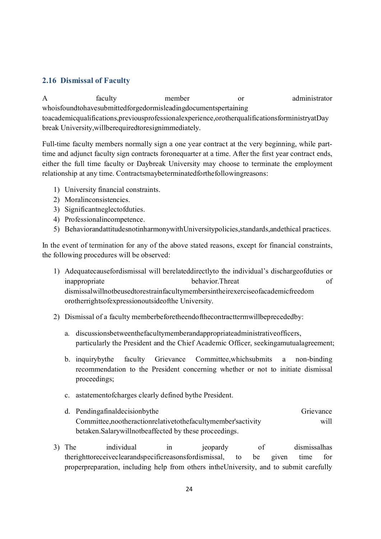# **2.16 Dismissal of Faculty**

A faculty member or administrator whoisfoundtohavesubmittedforgedormisleadingdocumentspertaining toacademicqualifications,previousprofessionalexperience,orotherqualificationsforministryatDay break University,willberequiredtoresignimmediately.

Full-time faculty members normally sign a one year contract at the very beginning, while parttime and adjunct faculty sign contracts foronequarter at a time. After the first year contract ends, either the full time faculty or Daybreak University may choose to terminate the employment relationship at any time. Contractsmaybeterminatedforthefollowingreasons:

- 1) University financial constraints.
- 2) Moralinconsistencies.
- 3) Significantneglectofduties.
- 4) Professionalincompetence.
- 5) BehaviorandattitudesnotinharmonywithUniversitypolicies,standards,andethical practices.

In the event of termination for any of the above stated reasons, except for financial constraints, the following procedures will be observed:

- 1) Adequatecausefordismissal will berelateddirectlyto the individual's dischargeofduties or inappropriate behavior.Threat of dismissalwillnotbeusedtorestrainfacultymembersintheirexerciseofacademicfreedom orotherrightsofexpressionoutsideofthe University.
- 2) Dismissal of a faculty memberbeforetheendofthecontracttermwillbeprecededby:
	- a. discussionsbetweenthefacultymemberandappropriateadministrativeofficers, particularly the President and the Chief Academic Officer, seekingamutualagreement;
	- b. inquirybythe faculty Grievance Committee,whichsubmits a non-binding recommendation to the President concerning whether or not to initiate dismissal proceedings;
	- c. astatementofcharges clearly defined bythe President.
	- d. Pendingafinaldecisionbythe Grievance Committee,nootheractionrelativetothefacultymember'sactivity will betaken.Salarywillnotbeaffected by these proceedings.
- 3) The individual in jeopardy of dismissalhas therighttoreceiveclearandspecificreasonsfordismissal, to be given time for properpreparation, including help from others intheUniversity, and to submit carefully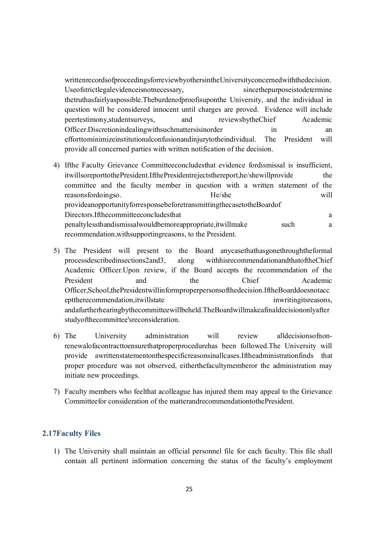writtenrecordsofproceedingsforreviewbyothersintheUniversityconcernedwiththedecision. Useofstrictlegalevidenceisnotnecessary, sincethepurposeistodetermine thetruthasfairlyaspossible.Theburdenofproofisuponthe University, and the individual in question will be considered innocent until charges are proved. Evidence will include peertestimony,studentsurveys, and reviewsbytheChief Academic Officer.Discretionindealingwithsuchmattersisinorder in an an efforttominimizeinstitutionalconfusionandinjurytotheindividual. The President will provide all concerned parties with written notification of the decision.

- 4) Ifthe Faculty Grievance Committeeconcludesthat evidence fordismissal is insufficient, itwillsoreporttothePresident.IfthePresidentrejectsthereport,he/shewillprovide the committee and the faculty member in question with a written statement of the reasonsfordoingso. He/she will provideanopportunityforresponsebeforetransmittingthecasetotheBoardof Directors. If the committee concludes that a series of the contract a series of the contract of the contract of the contract of the contract of the contract of the contract of the contract of the contract of the contract o penaltylessthandismissalwouldbemoreappropriate,itwillmake such a recommendation,withsupportingreasons, to the President.
- 5) The President will present to the Board anycasethathasgonethroughtheformal processdescribedinsections2and3, along withhisrecommendationandthatoftheChief Academic Officer.Upon review, if the Board accepts the recommendation of the President and the Chief Academic Officer,School,thePresidentwillinformproperpersonsofthedecision.IftheBoarddoesnotacc epttherecommendation, it will state in writing its reasons, andafurtherhearingbythecommitteewillbeheld.TheBoardwillmakeafinaldecisiononlyafter studyofthecommittee'sreconsideration.
- 6) The University administration will review alldecisionsofnonrenewalofacontracttoensurethatproperprocedurehas been followed.The University will provide awrittenstatementonthespecificreasonsinallcases.Iftheadministrationfinds that proper procedure was not observed, eitherthefacultymemberor the administration may initiate new proceedings.
- 7) Faculty members who feelthat acolleague has injured them may appeal to the Grievance Committeefor consideration of the matterandrecommendationtothePresident.

### **2.17Faculty Files**

1) The University shall maintain an official personnel file for each faculty. This file shall contain all pertinent information concerning the status of the faculty's employment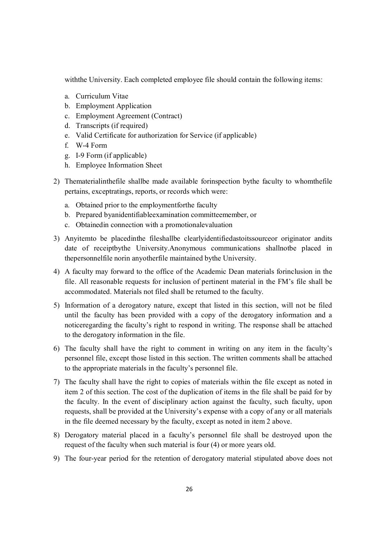withthe University. Each completed employee file should contain the following items:

- a. Curriculum Vitae
- b. Employment Application
- c. Employment Agreement (Contract)
- d. Transcripts (if required)
- e. Valid Certificate for authorization for Service (if applicable)
- f. W-4 Form
- g. I-9 Form (if applicable)
- h. Employee Information Sheet
- 2) Thematerialinthefile shallbe made available forinspection bythe faculty to whomthefile pertains, exceptratings, reports, or records which were:
	- a. Obtained prior to the employmentforthe faculty
	- b. Prepared byanidentifiableexamination committeemember, or
	- c. Obtainedin connection with a promotionalevaluation
- 3) Anyitemto be placedinthe fileshallbe clearlyidentifiedastoitssourceor originator andits date of receiptbythe University.Anonymous communications shallnotbe placed in thepersonnelfile norin anyotherfile maintained bythe University.
- 4) A faculty may forward to the office of the Academic Dean materials forinclusion in the file. All reasonable requests for inclusion of pertinent material in the FM's file shall be accommodated. Materials not filed shall be returned to the faculty.
- 5) Information of a derogatory nature, except that listed in this section, will not be filed until the faculty has been provided with a copy of the derogatory information and a noticeregarding the faculty's right to respond in writing. The response shall be attached to the derogatory information in the file.
- 6) The faculty shall have the right to comment in writing on any item in the faculty's personnel file, except those listed in this section. The written comments shall be attached to the appropriate materials in the faculty's personnel file.
- 7) The faculty shall have the right to copies of materials within the file except as noted in item 2 of this section. The cost of the duplication of items in the file shall be paid for by the faculty. In the event of disciplinary action against the faculty, such faculty, upon requests, shall be provided at the University's expense with a copy of any or all materials in the file deemed necessary by the faculty, except as noted in item 2 above.
- 8) Derogatory material placed in a faculty's personnel file shall be destroyed upon the request of the faculty when such material is four (4) or more years old.
- 9) The four-year period for the retention of derogatory material stipulated above does not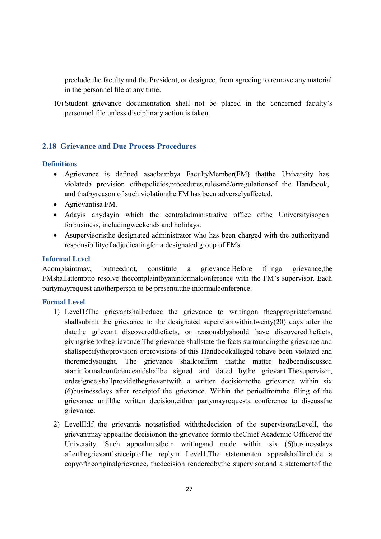preclude the faculty and the President, or designee, from agreeing to remove any material in the personnel file at any time.

10) Student grievance documentation shall not be placed in the concerned faculty's personnel file unless disciplinary action is taken.

# **2.18 Grievance and Due Process Procedures**

### **Definitions**

- · Agrievance is defined asaclaimbya FacultyMember(FM) thatthe University has violateda provision ofthepolicies,procedures,rulesand/orregulationsof the Handbook, and thatbyreason of such violationthe FM has been adverselyaffected.
- · Agrievantisa FM.
- · Adayis anydayin which the centraladministrative office ofthe Universityisopen forbusiness, includingweekends and holidays.
- Asupervisoristhe designated administrator who has been charged with the authority and responsibilityof adjudicatingfor a designated group of FMs.

### **Informal Level**

Acomplaintmay, butneednot, constitute a grievance.Before filinga grievance,the FMshallattemptto resolve thecomplaintbyaninformalconference with the FM's supervisor. Each partymayrequest anotherperson to be presentatthe informalconference.

# **Formal Level**

- 1) Level1:The grievantshallreduce the grievance to writingon theappropriateformand shallsubmit the grievance to the designated supervisorwithintwenty(20) days after the datethe grievant discoveredthefacts, or reasonablyshould have discoveredthefacts, givingrise tothegrievance.The grievance shallstate the facts surroundingthe grievance and shallspecifytheprovision orprovisions of this Handbookalleged tohave been violated and theremedysought. The grievance shallconfirm thatthe matter hadbeendiscussed ataninformalconferenceandshallbe signed and dated bythe grievant.Thesupervisor, ordesignee,shallprovidethegrievantwith a written decisiontothe grievance within six (6)businessdays after receiptof the grievance. Within the periodfromthe filing of the grievance untilthe written decision,either partymayrequesta conference to discussthe grievance.
- 2) LevelII:If the grievantis notsatisfied withthedecision of the supervisoratLevelI, the grievantmay appealthe decisionon the grievance formto theChief Academic Officerof the University. Such appealmustbein writingand made within six (6)businessdays afterthegrievant'sreceiptofthe replyin Level1.The statementon appealshallinclude a copyoftheoriginalgrievance, thedecision renderedbythe supervisor,and a statementof the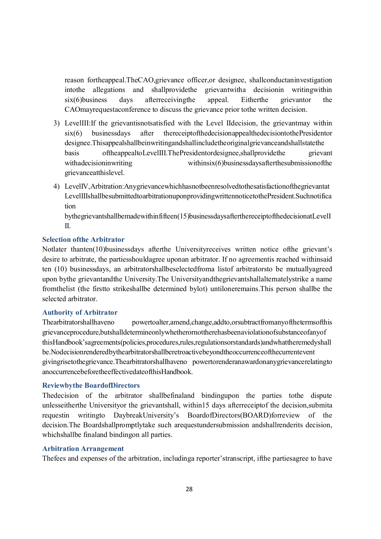reason fortheappeal.TheCAO,grievance officer,or designee, shallconductaninvestigation intothe allegations and shallprovidethe grievantwitha decisionin writingwithin six(6)business days afterreceivingthe appeal. Eitherthe grievantor the CAOmayrequestaconference to discuss the grievance prior tothe written decision.

- 3) LevelIII:If the grievantisnotsatisfied with the Level IIdecision, the grievantmay within six(6) businessdays after thereceiptofthedecisionappealthedecisiontothePresidentor designee.Thisappealshallbeinwritingandshallincludetheoriginalgrievanceandshallstatethe basis oftheappealtoLevelIII.ThePresidentordesignee,shallprovidethe grievant withadecisioninwriting withinsix(6)businessdaysafterthesubmissionofthe grievanceatthislevel.
- 4) LevelIV,Arbitration:Anygrievancewhichhasnotbeenresolvedtothesatisfactionofthegrievantat LevelIIIshallbesubmittedtoarbitrationuponprovidingwrittennoticetothePresident.Suchnotifica tion

bythegrievantshallbemadewithinfifteen(15)businessdaysafterthereceiptofthedecisionatLevelI  $\mathbf{I}$ 

### **Selection ofthe Arbitrator**

Notlater thanten(10)businessdays afterthe Universityreceives written notice ofthe grievant's desire to arbitrate, the partiesshouldagree uponan arbitrator. If no agreementis reached withinsaid ten (10) businessdays, an arbitratorshallbeselectedfroma listof arbitratorsto be mutuallyagreed upon bythe grievantandthe University.The Universityandthegrievantshallalternatelystrike a name fromthelist (the firstto strikeshallbe determined bylot) untiloneremains.This person shallbe the selected arbitrator.

### **Authority of Arbitrator**

Thearbitratorshallhaveno powertoalter,amend,change,addto,orsubtractfromanyofthetermsofthis grievanceprocedure,butshalldetermineonlywhetherornottherehasbeenaviolationofsubstanceofanyof thisHandbook'sagreements(policies,procedures,rules,regulationsorstandards)andwhattheremedyshall be.Nodecisionrenderedbythearbitratorshallberetroactivebeyondtheoccurrenceofthecurrentevent givingrisetothegrievance.Thearbitratorshallhaveno powertorenderanawardonanygrievancerelatingto anoccurrencebeforetheeffectivedateofthisHandbook.

#### **Reviewbythe BoardofDirectors**

Thedecision of the arbitrator shallbefinaland bindingupon the parties tothe dispute unlesseitherthe Universityor the grievantshall, within15 days afterreceiptof the decision,submita requestin writingto DaybreakUniversity's BoardofDirectors(BOARD)forreview of the decision.The Boardshallpromptlytake such arequestundersubmission andshallrenderits decision, whichshallbe finaland bindingon all parties.

### **Arbitration Arrangement**

Thefees and expenses of the arbitration, includinga reporter'stranscript, ifthe partiesagree to have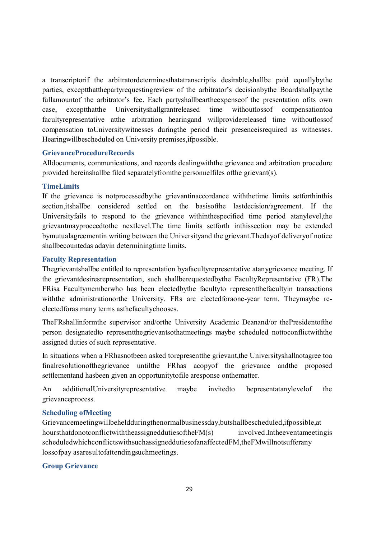a transcriptorif the arbitratordeterminesthatatranscriptis desirable,shallbe paid equallybythe parties, exceptthatthepartyrequestingreview of the arbitrator's decisionbythe Boardshallpaythe fullamountof the arbitrator's fee. Each partyshallbeartheexpenseof the presentation ofits own case, exceptthatthe Universityshallgrantreleased time withoutlossof compensationtoa facultyrepresentative atthe arbitration hearingand willprovidereleased time withoutlossof compensation toUniversitywitnesses duringthe period their presenceisrequired as witnesses. Hearingwillbescheduled on University premises,ifpossible.

#### **GrievanceProcedureRecords**

Alldocuments, communications, and records dealingwiththe grievance and arbitration procedure provided hereinshallbe filed separatelyfromthe personnelfiles ofthe grievant(s).

### **TimeLimits**

If the grievance is notprocessedbythe grievantinaccordance withthetime limits setforthinthis section,itshallbe considered settled on the basisofthe lastdecision/agreement. If the Universityfails to respond to the grievance withinthespecified time period atanylevel,the grievantmayproceedtothe nextlevel.The time limits setforth inthissection may be extended bymutualagreementin writing between the Universityand the grievant.Thedayof deliveryof notice shallbecountedas adayin determiningtime limits.

### **Faculty Representation**

Thegrievantshallbe entitled to representation byafacultyrepresentative atanygrievance meeting. If the grievantdesiresrepresentation, such shallberequestedbythe FacultyRepresentative (FR).The FRisa Facultymemberwho has been electedbythe facultyto representthefacultyin transactions withthe administrationorthe University. FRs are electedforaone-year term. Theymaybe reelectedforas many terms asthefacultychooses.

TheFRshallinformthe supervisor and/orthe University Academic Deanand/or thePresidentofthe person designatedto representthegrievantsothatmeetings maybe scheduled nottoconflictwiththe assigned duties of such representative.

In situations when a FRhasnotbeen asked torepresentthe grievant,the Universityshallnotagree toa finalresolutionofthegrievance untilthe FRhas acopyof the grievance andthe proposed settlementand hasbeen given an opportunitytofile aresponse onthematter.

An additionalUniversityrepresentative maybe invitedto bepresentatanylevelof the grievanceprocess.

#### **Scheduling ofMeeting**

Grievancemeetingwillbeheldduringthenormalbusinessday,butshallbescheduled,ifpossible,at hoursthatdonotconflictwiththeassigneddutiesoftheFM(s) involved.Intheeventameetingis scheduledwhichconflictswithsuchassigneddutiesofanaffectedFM,theFMwillnotsufferany lossofpay asaresultofattendingsuchmeetings.

### **Group Grievance**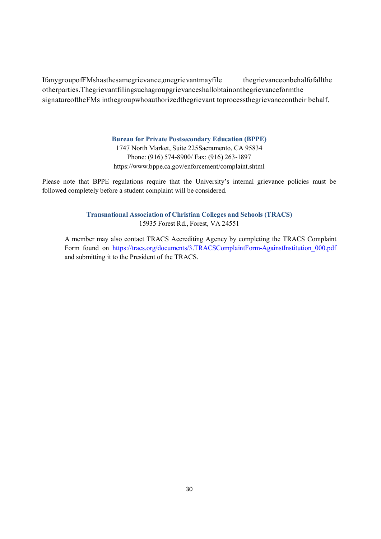IfanygroupofFMshasthesamegrievance,onegrievantmayfile thegrievanceonbehalfofallthe otherparties.Thegrievantfilingsuchagroupgrievanceshallobtainonthegrievanceformthe signatureoftheFMs inthegroupwhoauthorizedthegrievant toprocessthegrievanceontheir behalf.

#### **Bureau for Private Postsecondary Education (BPPE)**

1747 North Market, Suite 225Sacramento, CA 95834 Phone: (916) 574-8900/ Fax: (916) 263-1897 https://www.bppe.ca.gov/enforcement/complaint.shtml

Please note that BPPE regulations require that the University's internal grievance policies must be followed completely before a student complaint will be considered.

### **Transnational Association of Christian Colleges and Schools (TRACS)** 15935 Forest Rd., Forest, VA 24551

A member may also contact TRACS Accrediting Agency by completing the TRACS Complaint Form found on https://tracs.org/documents/3.TRACSComplaintForm-AgainstInstitution\_000.pdf and submitting it to the President of the TRACS.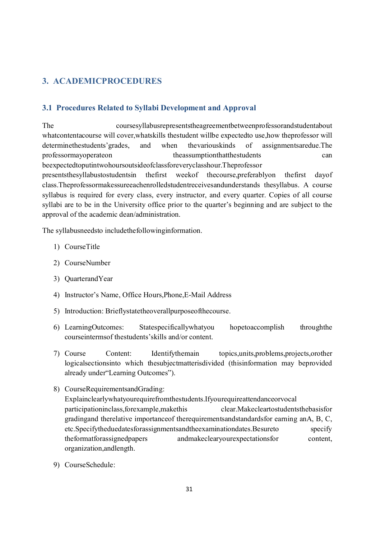# **3. ACADEMICPROCEDURES**

# **3.1 Procedures Related to Syllabi Development and Approval**

The coursesyllabusrepresentstheagreementbetweenprofessorandstudentabout whatcontentacourse will cover,whatskills thestudent willbe expectedto use,how theprofessor will determinethestudents' grades, and when the various kinds of assignments are due. The professormayoperateon theassumptionthatthestudents can beexpectedtoputintwohoursoutsideofclassforeveryclasshour.Theprofessor presentsthesyllabustostudentsin thefirst weekof thecourse,preferablyon thefirst dayof class.Theprofessormakessureeachenrolledstudentreceivesandunderstands thesyllabus. A course syllabus is required for every class, every instructor, and every quarter. Copies of all course syllabi are to be in the University office prior to the quarter's beginning and are subject to the

The syllabusneedsto includethefollowinginformation.

approval of the academic dean/administration.

- 1) CourseTitle
- 2) CourseNumber
- 3) QuarterandYear
- 4) Instructor's Name, Office Hours,Phone,E-Mail Address
- 5) Introduction: Brieflystatetheoverallpurposeofthecourse.
- 6) LearningOutcomes: Statespecificallywhatyou hopetoaccomplish throughthe courseintermsof thestudents'skills and/or content.
- 7) Course Content: Identifythemain topics,units,problems,projects,orother logicalsectionsinto which thesubjectmatterisdivided (thisinformation may beprovided already under"Learning Outcomes").
- 8) CourseRequirementsandGrading: Explainclearlywhatyourequirefromthestudents.Ifyourequireattendanceorvocal participationinclass,forexample,makethis clear.Makecleartostudentsthebasisfor gradingand therelative importanceof therequirementsandstandardsfor earning anA, B, C, etc.Specifytheduedatesforassignmentsandtheexaminationdates.Besureto specify theformatforassignedpapers andmakeclearyourexpectationsfor content, organization,andlength.
- 9) CourseSchedule: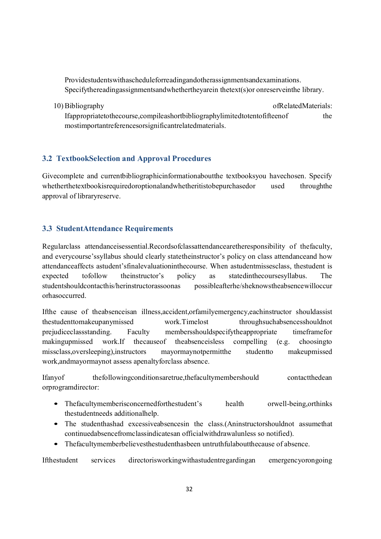Providestudentswithascheduleforreadingandotherassignmentsandexaminations. Specifythereadingassignmentsandwhethertheyarein thetext(s)or onreserveinthe library.

10) Bibliography of Related Materials: Ifappropriatetothecourse,compileashortbibliographylimitedtotentofifteenof the mostimportantreferencesorsignificantrelatedmaterials.

# **3.2 TextbookSelection and Approval Procedures**

Givecomplete and currentbibliographicinformationaboutthe textbooksyou havechosen. Specify whetherthetextbookisrequiredoroptionalandwhetheritistobepurchasedor used throughthe approval of libraryreserve.

# **3.3 StudentAttendance Requirements**

Regularclass attendanceisessential.Recordsofclassattendancearetheresponsibility of thefaculty, and everycourse'ssyllabus should clearly statetheinstructor's policy on class attendanceand how attendanceaffects astudent'sfinalevaluationinthecourse. When astudentmissesclass, thestudent is expected tofollow theinstructor's policy as statedinthecoursesyllabus. The studentshouldcontacthis/herinstructorassoonas possibleafterhe/sheknowstheabsencewilloccur orhasoccurred.

Ifthe cause of theabsenceisan illness,accident,orfamilyemergency,eachinstructor shouldassist thestudenttomakeupanymissed work.Timelost throughsuchabsencesshouldnot prejudiceclassstanding. Faculty membersshouldspecifytheappropriate timeframefor makingupmissed work.If thecauseof theabsenceisless compelling (e.g. choosingto missclass,oversleeping),instructors mayormaynotpermitthe studentto makeupmissed work,andmayormaynot assess apenaltyforclass absence.

Ifanyof thefollowingconditionsaretrue,thefacultymembershould contactthedean orprogramdirector:

- Thefacultymemberisconcernedforthestudent's health orwell-being,orthinks thestudentneeds additionalhelp.
- The studenthashad excessiveabsencesin the class.(Aninstructorshouldnot assumethat continuedabsencefromclassindicatesan officialwithdrawalunless so notified).
- Thefacultymemberbelievesthestudenthasbeen untruthfulaboutthecause of absence.

Ifthestudent services directorisworkingwithastudentregardingan emergencyorongoing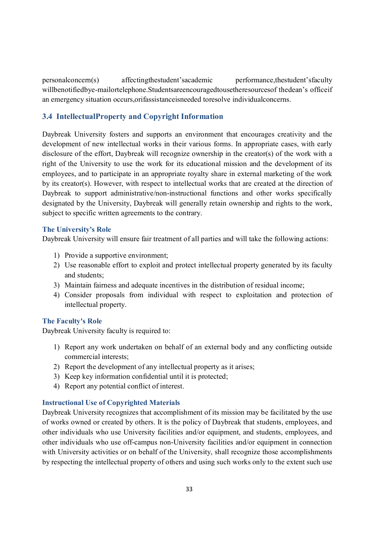personalconcern(s) affectingthestudent'sacademic performance,thestudent'sfaculty willbenotifiedbye-mailortelephone.Studentsareencouragedtousetheresourcesof thedean's officeif an emergency situation occurs,orifassistanceisneeded toresolve individualconcerns.

# **3.4 IntellectualProperty and Copyright Information**

Daybreak University fosters and supports an environment that encourages creativity and the development of new intellectual works in their various forms. In appropriate cases, with early disclosure of the effort, Daybreak will recognize ownership in the creator(s) of the work with a right of the University to use the work for its educational mission and the development of its employees, and to participate in an appropriate royalty share in external marketing of the work by its creator(s). However, with respect to intellectual works that are created at the direction of Daybreak to support administrative/non-instructional functions and other works specifically designated by the University, Daybreak will generally retain ownership and rights to the work, subject to specific written agreements to the contrary.

### **The University's Role**

Daybreak University will ensure fair treatment of all parties and will take the following actions:

- 1) Provide a supportive environment;
- 2) Use reasonable effort to exploit and protect intellectual property generated by its faculty and students;
- 3) Maintain fairness and adequate incentives in the distribution of residual income;
- 4) Consider proposals from individual with respect to exploitation and protection of intellectual property.

#### **The Faculty's Role**

Daybreak University faculty is required to:

- 1) Report any work undertaken on behalf of an external body and any conflicting outside commercial interests;
- 2) Report the development of any intellectual property as it arises;
- 3) Keep key information confidential until it is protected;
- 4) Report any potential conflict of interest.

### **Instructional Use of Copyrighted Materials**

Daybreak University recognizes that accomplishment of its mission may be facilitated by the use of works owned or created by others. It is the policy of Daybreak that students, employees, and other individuals who use University facilities and/or equipment, and students, employees, and other individuals who use off-campus non-University facilities and/or equipment in connection with University activities or on behalf of the University, shall recognize those accomplishments by respecting the intellectual property of others and using such works only to the extent such use